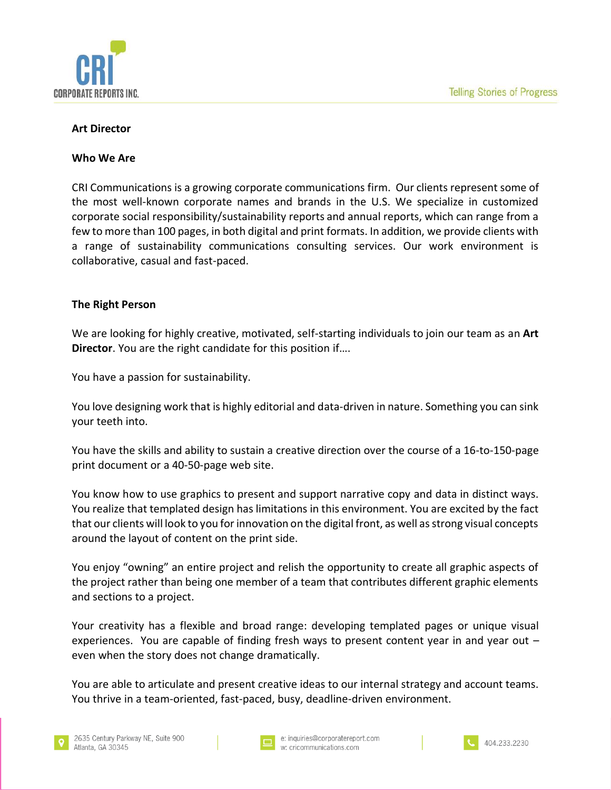

## **Art Director**

## **Who We Are**

CRI Communications is a growing corporate communications firm. Our clients represent some of the most well-known corporate names and brands in the U.S. We specialize in customized corporate social responsibility/sustainability reports and annual reports, which can range from a few to more than 100 pages, in both digital and print formats. In addition, we provide clients with a range of sustainability communications consulting services. Our work environment is collaborative, casual and fast-paced.

## **The Right Person**

We are looking for highly creative, motivated, self-starting individuals to join our team as an **Art Director**. You are the right candidate for this position if….

You have a passion for sustainability.

You love designing work that is highly editorial and data-driven in nature. Something you can sink your teeth into.

You have the skills and ability to sustain a creative direction over the course of a 16-to-150-page print document or a 40-50-page web site.

You know how to use graphics to present and support narrative copy and data in distinct ways. You realize that templated design has limitations in this environment. You are excited by the fact that our clients will look to you for innovation on the digital front, as well as strong visual concepts around the layout of content on the print side.

You enjoy "owning" an entire project and relish the opportunity to create all graphic aspects of the project rather than being one member of a team that contributes different graphic elements and sections to a project.

Your creativity has a flexible and broad range: developing templated pages or unique visual experiences. You are capable of finding fresh ways to present content year in and year out – even when the story does not change dramatically.

You are able to articulate and present creative ideas to our internal strategy and account teams. You thrive in a team-oriented, fast-paced, busy, deadline-driven environment.